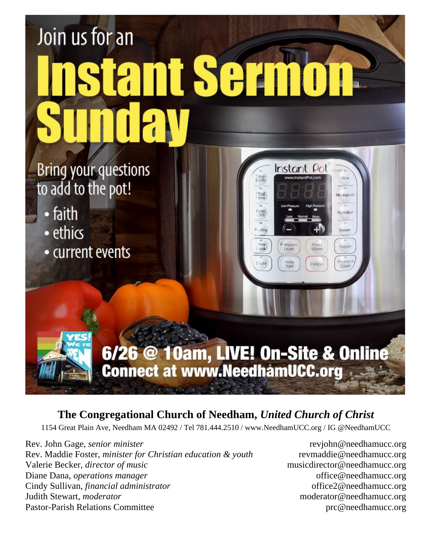#### Join us for an ant Serm **Bring your questions** Instant Pot Soup<br>Eroth piec to add to the pot! foat<br>tew Multigrain • faith Porridoe • ethics P. Littry Stean Keep Yogurt • current events Pressur<br>Cook Canci

6/26 @ 10am, LIVE! On-Site & Online<br>Connect at www.NeedhamUCC.org

### **The Congregational Church of Needham,** *United Church of Christ*

1154 Great Plain Ave, Needham MA 02492 / Tel 781.444.2510 / www.NeedhamUCC.org / IG @NeedhamUCC

Rev. John Gage, *senior minister* revjohn@needhamucc.org Rev. Maddie Foster, *minister for Christian education & youth* revmaddie@needhamucc.org Valerie Becker, *director of music* music music musicdirector@needhamucc.org Diane Dana, *operations manager* office @needhamucc.org Cindy Sullivan, *financial administrator* office2@needhamucc.org Judith Stewart, *moderator* moderator@needhamucc.org Pastor-Parish Relations Committee produce produce produce produce produce produce produce produce produce produce produce  $\mathbb{R}^n$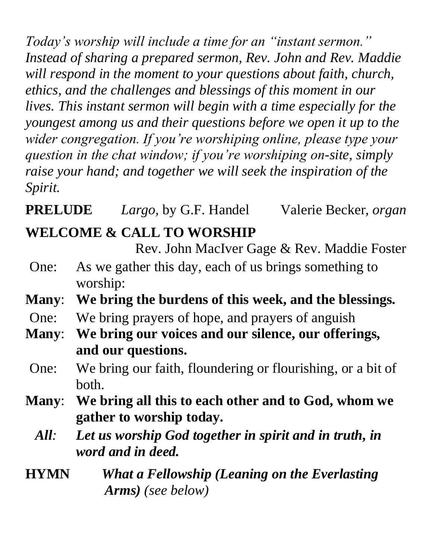*Today's worship will include a time for an "instant sermon." Instead of sharing a prepared sermon, Rev. John and Rev. Maddie will respond in the moment to your questions about faith, church, ethics, and the challenges and blessings of this moment in our lives. This instant sermon will begin with a time especially for the youngest among us and their questions before we open it up to the wider congregation. If you're worshiping online, please type your question in the chat window; if you're worshiping on-site, simply raise your hand; and together we will seek the inspiration of the Spirit.*

**PRELUDE** *Largo,* by G.F. Handel Valerie Becker, *organ*

# **WELCOME & CALL TO WORSHIP**

Rev. John MacIver Gage & Rev. Maddie Foster

- One: As we gather this day, each of us brings something to worship:
- **Many**: **We bring the burdens of this week, and the blessings.**
- One: We bring prayers of hope, and prayers of anguish
- **Many**: **We bring our voices and our silence, our offerings, and our questions.**
	- One: We bring our faith, floundering or flourishing, or a bit of both.
- **Many**: **We bring all this to each other and to God, whom we gather to worship today.**
	- *All: Let us worship God together in spirit and in truth, in word and in deed.*
- **HYMN** *What a Fellowship (Leaning on the Everlasting Arms) (see below)*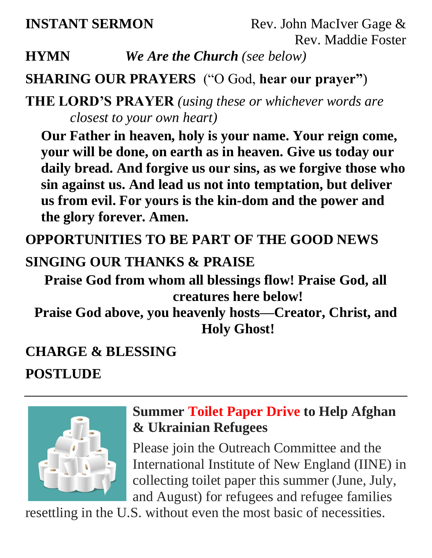**INSTANT SERMON** Rev. John MacIver Gage & Rev. Maddie Foster

**HYMN** *We Are the Church (see below)*

## **SHARING OUR PRAYERS** ("O God, **hear our prayer"**)

**THE LORD'S PRAYER** *(using these or whichever words are closest to your own heart)*

**Our Father in heaven, holy is your name. Your reign come, your will be done, on earth as in heaven. Give us today our daily bread. And forgive us our sins, as we forgive those who sin against us. And lead us not into temptation, but deliver us from evil. For yours is the kin-dom and the power and the glory forever. Amen.**

**OPPORTUNITIES TO BE PART OF THE GOOD NEWS**

#### **SINGING OUR THANKS & PRAISE**

**Praise God from whom all blessings flow! Praise God, all creatures here below!**

**Praise God above, you heavenly hosts—Creator, Christ, and Holy Ghost!**

#### **CHARGE & BLESSING**

**POSTLUDE**



## **Summer Toilet Paper Drive to Help Afghan & Ukrainian Refugees**

Please join the Outreach Committee and the International Institute of New England (IINE) in collecting toilet paper this summer (June, July, and August) for refugees and refugee families

resettling in the U.S. without even the most basic of necessities.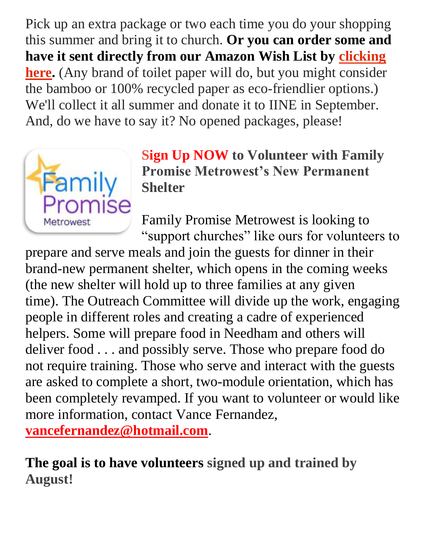Pick up an extra package or two each time you do your shopping this summer and bring it to church. **Or you can order some and have it sent directly from our Amazon Wish List by [clicking](https://www.amazon.com/hz/wishlist/ls/29QM8YOUZIEQ7?ref_=wl_share)  [here.](https://www.amazon.com/hz/wishlist/ls/29QM8YOUZIEQ7?ref_=wl_share)** (Any brand of toilet paper will do, but you might consider the bamboo or 100% recycled paper as eco-friendlier options.) We'll collect it all summer and donate it to IINE in September. And, do we have to say it? No opened packages, please!



**Sign Up NOW to Volunteer with Family Promise Metrowest's New Permanent Shelter**

Family Promise Metrowest is looking to "support churches" like ours for volunteers to

prepare and serve meals and join the guests for dinner in their brand-new permanent shelter, which opens in the coming weeks (the new shelter will hold up to three families at any given time). The Outreach Committee will divide up the work, engaging people in different roles and creating a cadre of experienced helpers. Some will prepare food in Needham and others will deliver food . . . and possibly serve. Those who prepare food do not require training. Those who serve and interact with the guests are asked to complete a short, two-module orientation, which has been completely revamped. If you want to volunteer or would like more information, contact Vance Fernandez, **[vancefernandez@hotmail.com](mailto:vancefernandez@hotmail.com)**.

**The goal is to have volunteers signed up and trained by August!**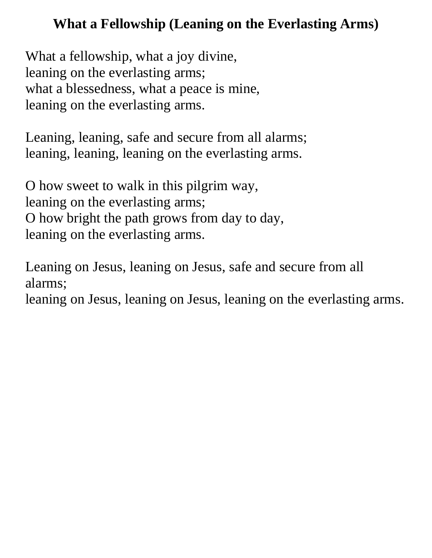## **What a Fellowship (Leaning on the Everlasting Arms)**

What a fellowship, what a joy divine, leaning on the everlasting arms; what a blessedness, what a peace is mine, leaning on the everlasting arms.

Leaning, leaning, safe and secure from all alarms; leaning, leaning, leaning on the everlasting arms.

O how sweet to walk in this pilgrim way, leaning on the everlasting arms; O how bright the path grows from day to day, leaning on the everlasting arms.

Leaning on Jesus, leaning on Jesus, safe and secure from all alarms;

leaning on Jesus, leaning on Jesus, leaning on the everlasting arms.